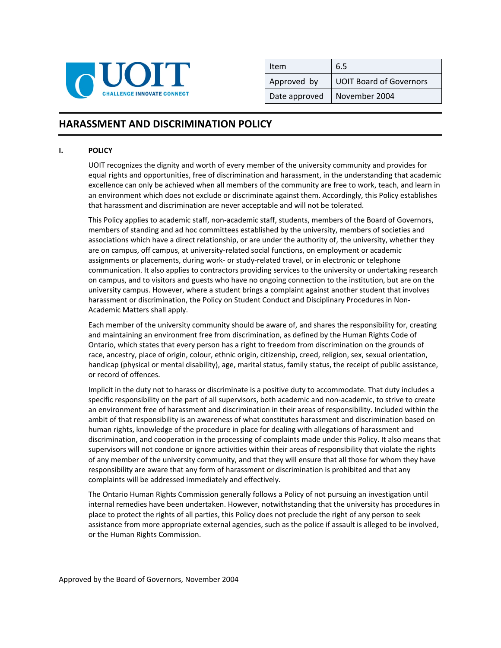

| Item          | 6.5                            |
|---------------|--------------------------------|
| Approved by   | <b>UOIT Board of Governors</b> |
| Date approved | November 2004                  |

## **HARASSMENT AND DISCRIMINATION POLICY <sup>1</sup>**

## **I. POLICY**

UOIT recognizes the dignity and worth of every member of the university community and provides for equal rights and opportunities, free of discrimination and harassment, in the understanding that academic excellence can only be achieved when all members of the community are free to work, teach, and learn in an environment which does not exclude or discriminate against them. Accordingly, this Policy establishes that harassment and discrimination are never acceptable and will not be tolerated.

This Policy applies to academic staff, non‐academic staff, students, members of the Board of Governors, members of standing and ad hoc committees established by the university, members of societies and associations which have a direct relationship, or are under the authority of, the university, whether they are on campus, off campus, at university-related social functions, on employment or academic assignments or placements, during work‐ or study‐related travel, or in electronic or telephone communication. It also applies to contractors providing services to the university or undertaking research on campus, and to visitors and guests who have no ongoing connection to the institution, but are on the university campus. However, where a student brings a complaint against another student that involves harassment or discrimination, the Policy on Student Conduct and Disciplinary Procedures in Non‐ Academic Matters shall apply.

Each member of the university community should be aware of, and shares the responsibility for, creating and maintaining an environment free from discrimination, as defined by the Human Rights Code of Ontario, which states that every person has a right to freedom from discrimination on the grounds of race, ancestry, place of origin, colour, ethnic origin, citizenship, creed, religion, sex, sexual orientation, handicap (physical or mental disability), age, marital status, family status, the receipt of public assistance, or record of offences.

Implicit in the duty not to harass or discriminate is a positive duty to accommodate. That duty includes a specific responsibility on the part of all supervisors, both academic and non-academic, to strive to create an environment free of harassment and discrimination in their areas of responsibility. Included within the ambit of that responsibility is an awareness of what constitutes harassment and discrimination based on human rights, knowledge of the procedure in place for dealing with allegations of harassment and discrimination, and cooperation in the processing of complaints made under this Policy. It also means that supervisors will not condone or ignore activities within their areas of responsibility that violate the rights of any member of the university community, and that they will ensure that all those for whom they have responsibility are aware that any form of harassment or discrimination is prohibited and that any complaints will be addressed immediately and effectively.

The Ontario Human Rights Commission generally follows a Policy of not pursuing an investigation until internal remedies have been undertaken. However, notwithstanding that the university has procedures in place to protect the rights of all parties, this Policy does not preclude the right of any person to seek assistance from more appropriate external agencies, such as the police if assault is alleged to be involved, or the Human Rights Commission.

 <sup>1</sup> Approved by the Board of Governors, November 2004